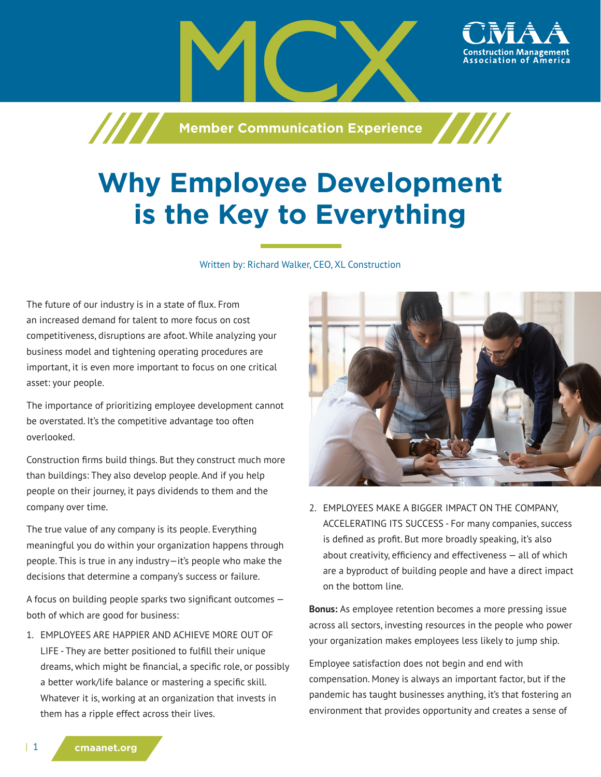**Machim School School School School Assembly** 

## **Why Employee Development is the Key to Everything**

Written by: Richard Walker, CEO, XL Construction

The future of our industry is in a state of flux. From an increased demand for talent to more focus on cost competitiveness, disruptions are afoot. While analyzing your business model and tightening operating procedures are important, it is even more important to focus on one critical asset: your people.

The importance of prioritizing employee development cannot be overstated. It's the competitive advantage too often overlooked.

Construction firms build things. But they construct much more than buildings: They also develop people. And if you help people on their journey, it pays dividends to them and the company over time.

The true value of any company is its people. Everything meaningful you do within your organization happens through people. This is true in any industry—it's people who make the decisions that determine a company's success or failure.

A focus on building people sparks two significant outcomes both of which are good for business:

1. EMPLOYEES ARE HAPPIER AND ACHIEVE MORE OUT OF LIFE - They are better positioned to fulfill their unique dreams, which might be financial, a specific role, or possibly a better work/life balance or mastering a specific skill. Whatever it is, working at an organization that invests in them has a ripple effect across their lives.



ssociation of

2. EMPLOYEES MAKE A BIGGER IMPACT ON THE COMPANY, ACCELERATING ITS SUCCESS - For many companies, success is defined as profit. But more broadly speaking, it's also about creativity, efficiency and effectiveness — all of which are a byproduct of building people and have a direct impact on the bottom line.

**Bonus:** As employee retention becomes a more pressing issue across all sectors, investing resources in the people who power your organization makes employees less likely to jump ship.

Employee satisfaction does not begin and end with compensation. Money is always an important factor, but if the pandemic has taught businesses anything, it's that fostering an environment that provides opportunity and creates a sense of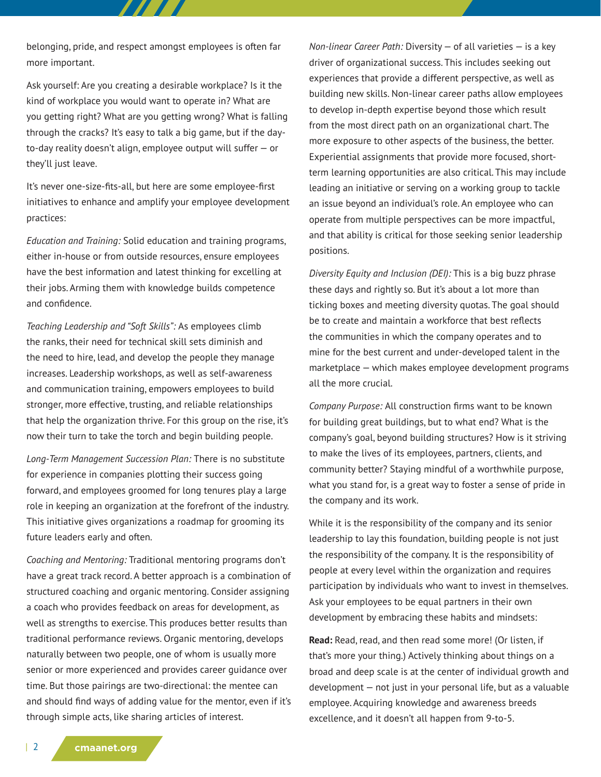belonging, pride, and respect amongst employees is often far more important.

777 T

Ask yourself: Are you creating a desirable workplace? Is it the kind of workplace you would want to operate in? What are you getting right? What are you getting wrong? What is falling through the cracks? It's easy to talk a big game, but if the dayto-day reality doesn't align, employee output will suffer — or they'll just leave.

It's never one-size-fits-all, but here are some employee-first initiatives to enhance and amplify your employee development practices:

*Education and Training:* Solid education and training programs, either in-house or from outside resources, ensure employees have the best information and latest thinking for excelling at their jobs. Arming them with knowledge builds competence and confidence.

*Teaching Leadership and "Soft Skills":* As employees climb the ranks, their need for technical skill sets diminish and the need to hire, lead, and develop the people they manage increases. Leadership workshops, as well as self-awareness and communication training, empowers employees to build stronger, more effective, trusting, and reliable relationships that help the organization thrive. For this group on the rise, it's now their turn to take the torch and begin building people.

*Long-Term Management Succession Plan:* There is no substitute for experience in companies plotting their success going forward, and employees groomed for long tenures play a large role in keeping an organization at the forefront of the industry. This initiative gives organizations a roadmap for grooming its future leaders early and often.

*Coaching and Mentoring:* Traditional mentoring programs don't have a great track record. A better approach is a combination of structured coaching and organic mentoring. Consider assigning a coach who provides feedback on areas for development, as well as strengths to exercise. This produces better results than traditional performance reviews. Organic mentoring, develops naturally between two people, one of whom is usually more senior or more experienced and provides career guidance over time. But those pairings are two-directional: the mentee can and should find ways of adding value for the mentor, even if it's through simple acts, like sharing articles of interest.

*Non-linear Career Path:* Diversity — of all varieties — is a key driver of organizational success. This includes seeking out experiences that provide a different perspective, as well as building new skills. Non-linear career paths allow employees to develop in-depth expertise beyond those which result from the most direct path on an organizational chart. The more exposure to other aspects of the business, the better. Experiential assignments that provide more focused, shortterm learning opportunities are also critical. This may include leading an initiative or serving on a working group to tackle an issue beyond an individual's role. An employee who can operate from multiple perspectives can be more impactful, and that ability is critical for those seeking senior leadership positions.

*Diversity Equity and Inclusion (DEI):* This is a big buzz phrase these days and rightly so. But it's about a lot more than ticking boxes and meeting diversity quotas. The goal should be to create and maintain a workforce that best reflects the communities in which the company operates and to mine for the best current and under-developed talent in the marketplace — which makes employee development programs all the more crucial.

*Company Purpose:* All construction firms want to be known for building great buildings, but to what end? What is the company's goal, beyond building structures? How is it striving to make the lives of its employees, partners, clients, and community better? Staying mindful of a worthwhile purpose, what you stand for, is a great way to foster a sense of pride in the company and its work.

While it is the responsibility of the company and its senior leadership to lay this foundation, building people is not just the responsibility of the company. It is the responsibility of people at every level within the organization and requires participation by individuals who want to invest in themselves. Ask your employees to be equal partners in their own development by embracing these habits and mindsets:

**Read:** Read, read, and then read some more! (Or listen, if that's more your thing.) Actively thinking about things on a broad and deep scale is at the center of individual growth and development — not just in your personal life, but as a valuable employee. Acquiring knowledge and awareness breeds excellence, and it doesn't all happen from 9-to-5.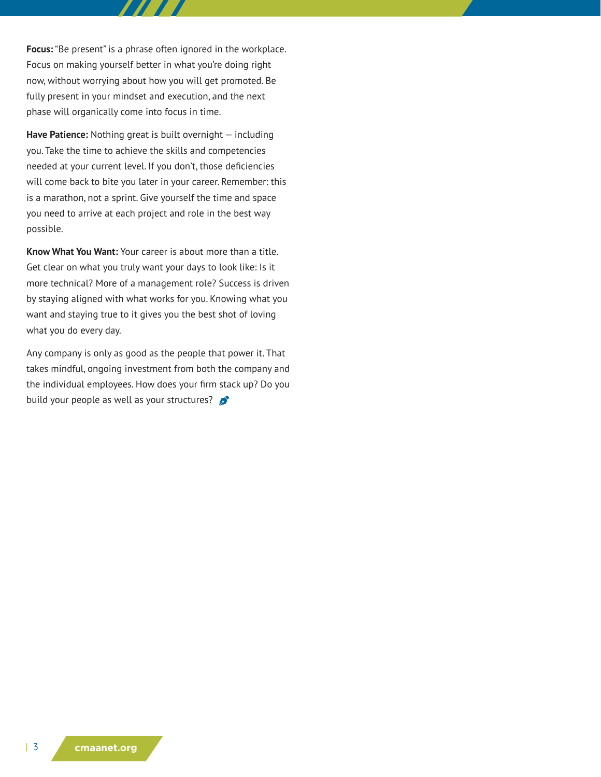**Focus:** "Be present" is a phrase often ignored in the workplace. Focus on making yourself better in what you're doing right now, without worrying about how you will get promoted. Be fully present in your mindset and execution, and the next phase will organically come into focus in time.

**Have Patience:** Nothing great is built overnight — including you. Take the time to achieve the skills and competencies needed at your current level. If you don't, those deficiencies will come back to bite you later in your career. Remember: this is a marathon, not a sprint. Give yourself the time and space you need to arrive at each project and role in the best way possible.

**Know What You Want:** Your career is about more than a title. Get clear on what you truly want your days to look like: Is it more technical? More of a management role? Success is driven by staying aligned with what works for you. Knowing what you want and staying true to it gives you the best shot of loving what you do every day.

Any company is only as good as the people that power it. That takes mindful, ongoing investment from both the company and the individual employees. How does your firm stack up? Do you build your people as well as your structures?  $\mathcal{L}$